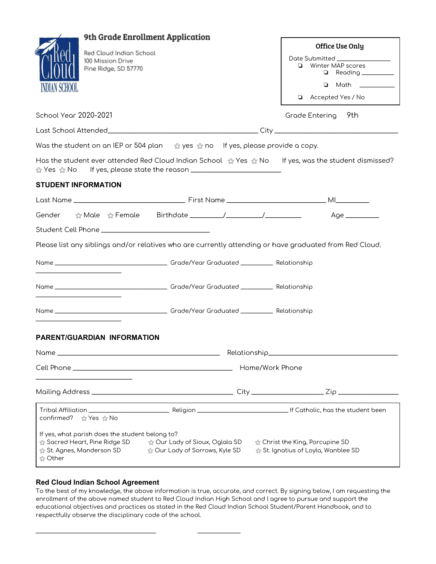| 9th Grade Enrollment Application                                                                                                                                                                 |                     |                                                                                     |
|--------------------------------------------------------------------------------------------------------------------------------------------------------------------------------------------------|---------------------|-------------------------------------------------------------------------------------|
|                                                                                                                                                                                                  |                     | Office Use Only                                                                     |
| Red Cloud Indian School<br>100 Mission Drive                                                                                                                                                     |                     | Date Submitted ________________                                                     |
| Pine Ridge, SD 57770                                                                                                                                                                             |                     | Winter MAP scores<br>o.<br>Reading                                                  |
|                                                                                                                                                                                                  |                     | $\Box$ Math                                                                         |
| AN SUHUUL                                                                                                                                                                                        |                     | Accepted Yes / No                                                                   |
|                                                                                                                                                                                                  |                     |                                                                                     |
| <b>School Year 2020-2021</b>                                                                                                                                                                     |                     | Grade Entering 9th                                                                  |
|                                                                                                                                                                                                  |                     |                                                                                     |
| Was the student on an IEP or 504 plan $\hat{\mathcal{A}}$ yes $\hat{\mathcal{A}}$ no If yes, please provide a copy.                                                                              |                     |                                                                                     |
| Has the student ever attended Red Cloud Indian School $\hat{\mathbb{Q}}$ Yes $\hat{\mathbb{Q}}$ No If yes, was the student dismissed?                                                            |                     |                                                                                     |
| <b>STUDENT INFORMATION</b>                                                                                                                                                                       |                     |                                                                                     |
|                                                                                                                                                                                                  |                     |                                                                                     |
|                                                                                                                                                                                                  |                     |                                                                                     |
| Student Cell Phone ________________________________                                                                                                                                              |                     |                                                                                     |
| Please list any siblings and/or relatives who are currently attending or have graduated from Red Cloud.                                                                                          |                     |                                                                                     |
|                                                                                                                                                                                                  |                     |                                                                                     |
|                                                                                                                                                                                                  |                     |                                                                                     |
|                                                                                                                                                                                                  |                     |                                                                                     |
|                                                                                                                                                                                                  |                     |                                                                                     |
|                                                                                                                                                                                                  |                     |                                                                                     |
|                                                                                                                                                                                                  |                     |                                                                                     |
| <b>PARENT/GUARDIAN INFORMATION</b>                                                                                                                                                               |                     |                                                                                     |
| Name _                                                                                                                                                                                           | Relationship        |                                                                                     |
|                                                                                                                                                                                                  | Home/Work Phone     |                                                                                     |
|                                                                                                                                                                                                  |                     |                                                                                     |
| confirmed? ☆ Yes ☆ No                                                                                                                                                                            |                     |                                                                                     |
| If yes, what parish does the student belong to?<br>$\hat{\mathbb{G}}$ Sacred Heart, Pine Ridge SD $\qquad \hat{\mathbb{G}}$ Our Lady of Sioux, Oglala SD<br>☆ St. Agnes, Manderson SD<br>☆ Other | highthrows, Kyle SD | $\hat{\varpi}$ Christ the King, Porcupine SD<br>☆ St. Ignatius of Loyla, Wanblee SD |

## **Red Cloud Indian School Agreement**

\_\_\_\_\_\_\_\_\_\_\_\_\_\_\_\_\_\_\_\_\_\_\_\_\_\_\_\_\_\_\_\_\_\_\_\_\_\_\_\_\_\_\_\_\_ \_\_\_\_\_\_\_\_\_\_\_\_\_\_\_\_

To the best of my knowledge, the above information is true, accurate, and correct. By signing below, I am requesting the enrollment of the above named student to Red Cloud Indian High School and I agree to pursue and support the educational objectives and practices as stated in the Red Cloud Indian School Student/Parent Handbook, and to respectfully observe the disciplinary code of the school.